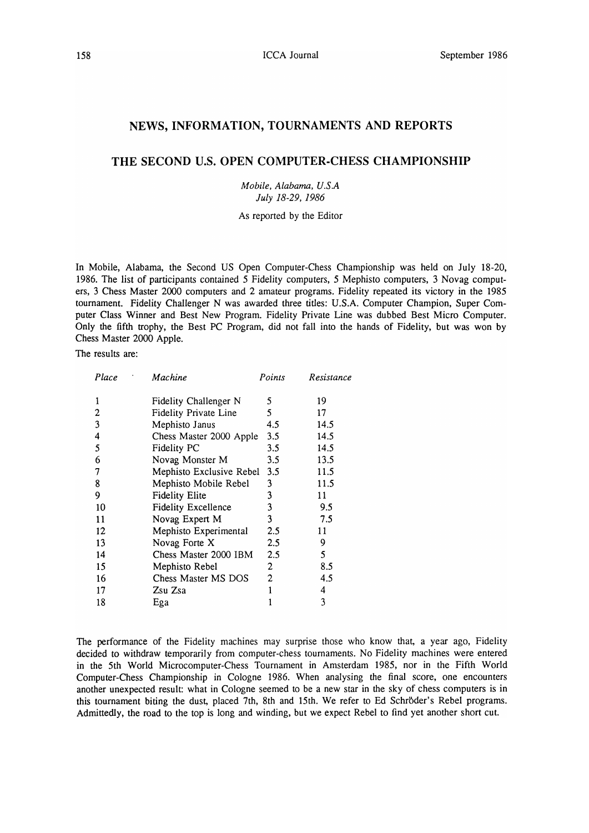## **NEWS, INFORMATION, TOURNAMENTS AND REPORTS**

## **THE SECOND U.S. OPEN COMPUTER-CHESS CHAMPIONSHIP**

*Mobile. Alabama. U.S.A July* 18-29. 1986

As reported by the Editor

In Mobile, Alabama, the Second US Open Computer-Chess Championship was held on July 18-20, 1986. The list of participants contained 5 Fidelity computers, 5 Mephisto computers, 3 Novag computers, 3 Chess Master 2000 computers and 2 amateur programs. Fidelity repeated its victory in the 1985 tournament. Fidelity Challenger N was awarded three titles: U.S.A. Computer Champion, Super Computer Class Winner and Best New Program. Fidelity Private Line was dubbed Best Micro Computer. Only the fifth trophy, the Best PC Program, did not fall into the hands of Fidelity, but was won by Chess Master 2000 Apple.

The results are:

| Place | Machine                    | Points                | Resistance |
|-------|----------------------------|-----------------------|------------|
| 1     | Fidelity Challenger N      | 5.                    | 19         |
| 2     | Fidelity Private Line      | 5                     | 17         |
| 3     | Mephisto Janus             | 4.5                   | 14.5       |
| 4     | Chess Master 2000 Apple    | 3.5                   | 14.5       |
| 5     | Fidelity PC                | 3.5                   | 14.5       |
| 6     | Novag Monster M            | 3.5                   | 13.5       |
| 7     | Mephisto Exclusive Rebel   | 3.5                   | 11.5       |
| 8     | Mephisto Mobile Rebel      | 3                     | 11.5       |
| 9     | <b>Fidelity Elite</b>      | 3                     | 11         |
| 10    | <b>Fidelity Excellence</b> | 3                     | 9.5        |
| 11    | Novag Expert M             | 3                     | 7.5        |
| 12    | Mephisto Experimental      | $2.5\,$               | 11         |
| 13    | Novag Forte X              | 2.5                   | 9          |
| 14    | Chess Master 2000 IBM      | 2.5                   | 5          |
| 15    | Mephisto Rebel             | $\mathbf{2}^{\prime}$ | 8.5        |
| 16    | Chess Master MS DOS        | $\mathbf{2}$          | 4.5        |
| 17    | Zsu Zsa                    | 1                     | 4          |
| 18    | Ega                        |                       | 3          |
|       |                            |                       |            |

The performance of the Fidelity machines may surprise those who know that, a year ago, Fidelity decided to withdraw temporarily from computer-chess tournaments. No Fidelity machines were entered in the 5th World Microcomputer-Chess Tournament in Amsterdam 1985, nor in the Fifth World Computer-Chess Championship in Cologne 1986. When analysing the final score, one encounters another unexpected result: what in Cologne seemed to be a new star in the sky of chess computers is in this tournament biting the dust, placed 7th, 8th and 15th. We refer to Ed Schröder's Rebel programs. Admittedly, the road to the top is long and winding, but we expect Rebel to find yet another short cut.